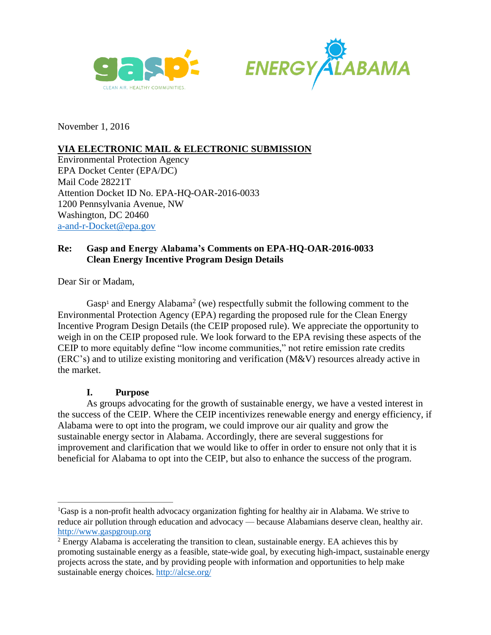



November 1, 2016

# **VIA ELECTRONIC MAIL & ELECTRONIC SUBMISSION**

Environmental Protection Agency EPA Docket Center (EPA/DC) Mail Code 28221T Attention Docket ID No. EPA-HQ-OAR-2016-0033 1200 Pennsylvania Avenue, NW Washington, DC 20460 [a-and-r-Docket@epa.gov](mailto:a-and-r-Docket@epa.gov)

# **Re: Gasp and Energy Alabama's Comments on EPA-HQ-OAR-2016-0033 Clean Energy Incentive Program Design Details**

Dear Sir or Madam,

Gasp<sup>1</sup> and Energy Alabama<sup>2</sup> (we) respectfully submit the following comment to the Environmental Protection Agency (EPA) regarding the proposed rule for the Clean Energy Incentive Program Design Details (the CEIP proposed rule). We appreciate the opportunity to weigh in on the CEIP proposed rule. We look forward to the EPA revising these aspects of the CEIP to more equitably define "low income communities," not retire emission rate credits (ERC's) and to utilize existing monitoring and verification (M&V) resources already active in the market.

## **I. Purpose**

 $\overline{a}$ 

As groups advocating for the growth of sustainable energy, we have a vested interest in the success of the CEIP. Where the CEIP incentivizes renewable energy and energy efficiency, if Alabama were to opt into the program, we could improve our air quality and grow the sustainable energy sector in Alabama. Accordingly, there are several suggestions for improvement and clarification that we would like to offer in order to ensure not only that it is beneficial for Alabama to opt into the CEIP, but also to enhance the success of the program.

<sup>&</sup>lt;sup>1</sup>Gasp is a non-profit health advocacy organization fighting for healthy air in Alabama. We strive to reduce air pollution through education and advocacy — because Alabamians deserve clean, healthy air. [http://www.gaspgroup.org](http://www.gaspgroup.org/)

<sup>2</sup> Energy Alabama is accelerating the transition to clean, sustainable energy. EA achieves this by promoting sustainable energy as a feasible, state-wide goal, by executing high-impact, sustainable energy projects across the state, and by providing people with information and opportunities to help make sustainable energy choices.<http://alcse.org/>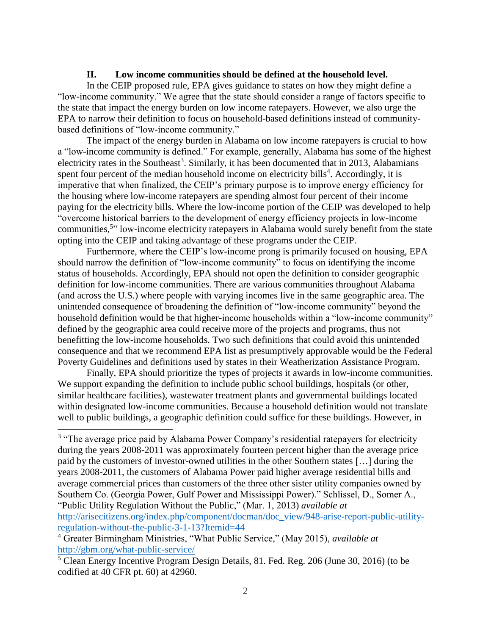#### **II. Low income communities should be defined at the household level.**

In the CEIP proposed rule, EPA gives guidance to states on how they might define a "low-income community." We agree that the state should consider a range of factors specific to the state that impact the energy burden on low income ratepayers. However, we also urge the EPA to narrow their definition to focus on household-based definitions instead of communitybased definitions of "low-income community."

The impact of the energy burden in Alabama on low income ratepayers is crucial to how a "low-income community is defined." For example, generally, Alabama has some of the highest electricity rates in the Southeast<sup>3</sup>. Similarly, it has been documented that in 2013, Alabamians spent four percent of the median household income on electricity bills<sup>4</sup>. Accordingly, it is imperative that when finalized, the CEIP's primary purpose is to improve energy efficiency for the housing where low-income ratepayers are spending almost four percent of their income paying for the electricity bills. Where the low-income portion of the CEIP was developed to help "overcome historical barriers to the development of energy efficiency projects in low-income communities,<sup>5</sup>" low-income electricity ratepayers in Alabama would surely benefit from the state opting into the CEIP and taking advantage of these programs under the CEIP.

Furthermore, where the CEIP's low-income prong is primarily focused on housing, EPA should narrow the definition of "low-income community" to focus on identifying the income status of households. Accordingly, EPA should not open the definition to consider geographic definition for low-income communities. There are various communities throughout Alabama (and across the U.S.) where people with varying incomes live in the same geographic area. The unintended consequence of broadening the definition of "low-income community" beyond the household definition would be that higher-income households within a "low-income community" defined by the geographic area could receive more of the projects and programs, thus not benefitting the low-income households. Two such definitions that could avoid this unintended consequence and that we recommend EPA list as presumptively approvable would be the Federal Poverty Guidelines and definitions used by states in their Weatherization Assistance Program.

Finally, EPA should prioritize the types of projects it awards in low-income communities. We support expanding the definition to include public school buildings, hospitals (or other, similar healthcare facilities), wastewater treatment plants and governmental buildings located within designated low-income communities. Because a household definition would not translate well to public buildings, a geographic definition could suffice for these buildings. However, in

 $\overline{a}$ 

<sup>&</sup>lt;sup>3</sup> "The average price paid by Alabama Power Company's residential ratepayers for electricity during the years 2008-2011 was approximately fourteen percent higher than the average price paid by the customers of investor-owned utilities in the other Southern states […] during the years 2008-2011, the customers of Alabama Power paid higher average residential bills and average commercial prices than customers of the three other sister utility companies owned by Southern Co. (Georgia Power, Gulf Power and Mississippi Power)." Schlissel, D., Somer A., "Public Utility Regulation Without the Public," (Mar. 1, 2013) *available at* [http://arisecitizens.org/index.php/component/docman/doc\\_view/948-arise-report-public-utility](http://arisecitizens.org/index.php/component/docman/doc_view/948-arise-report-public-utility-regulation-without-the-public-3-1-13?Itemid=44)[regulation-without-the-public-3-1-13?Itemid=44](http://arisecitizens.org/index.php/component/docman/doc_view/948-arise-report-public-utility-regulation-without-the-public-3-1-13?Itemid=44)

<sup>4</sup> Greater Birmingham Ministries, "What Public Service," (May 2015), *available at*  <http://gbm.org/what-public-service/>

 $\frac{5}{10}$  Clean Energy Incentive Program Design Details, 81. Fed. Reg. 206 (June 30, 2016) (to be codified at 40 CFR pt. 60) at 42960.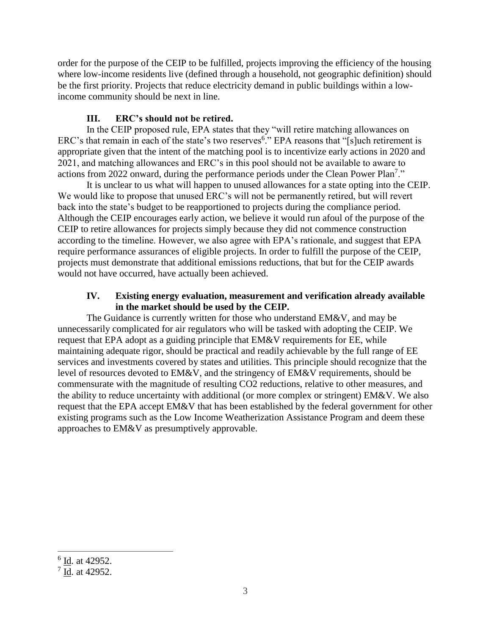order for the purpose of the CEIP to be fulfilled, projects improving the efficiency of the housing where low-income residents live (defined through a household, not geographic definition) should be the first priority. Projects that reduce electricity demand in public buildings within a lowincome community should be next in line.

## **III. ERC's should not be retired.**

In the CEIP proposed rule, EPA states that they "will retire matching allowances on ERC's that remain in each of the state's two reserves<sup>6</sup>." EPA reasons that "[s]uch retirement is appropriate given that the intent of the matching pool is to incentivize early actions in 2020 and 2021, and matching allowances and ERC's in this pool should not be available to aware to actions from 2022 onward, during the performance periods under the Clean Power Plan<sup>7</sup>."

It is unclear to us what will happen to unused allowances for a state opting into the CEIP. We would like to propose that unused ERC's will not be permanently retired, but will revert back into the state's budget to be reapportioned to projects during the compliance period. Although the CEIP encourages early action, we believe it would run afoul of the purpose of the CEIP to retire allowances for projects simply because they did not commence construction according to the timeline. However, we also agree with EPA's rationale, and suggest that EPA require performance assurances of eligible projects. In order to fulfill the purpose of the CEIP, projects must demonstrate that additional emissions reductions, that but for the CEIP awards would not have occurred, have actually been achieved.

### **IV. Existing energy evaluation, measurement and verification already available in the market should be used by the CEIP.**

The Guidance is currently written for those who understand EM&V, and may be unnecessarily complicated for air regulators who will be tasked with adopting the CEIP. We request that EPA adopt as a guiding principle that EM&V requirements for EE, while maintaining adequate rigor, should be practical and readily achievable by the full range of EE services and investments covered by states and utilities. This principle should recognize that the level of resources devoted to EM&V, and the stringency of EM&V requirements, should be commensurate with the magnitude of resulting CO2 reductions, relative to other measures, and the ability to reduce uncertainty with additional (or more complex or stringent) EM&V. We also request that the EPA accept EM&V that has been established by the federal government for other existing programs such as the Low Income Weatherization Assistance Program and deem these approaches to EM&V as presumptively approvable.

 $\overline{a}$ 

 $<sup>6</sup>$  <u>Id</u>. at 42952.</sup>

 $\frac{7}{10}$ . at 42952.